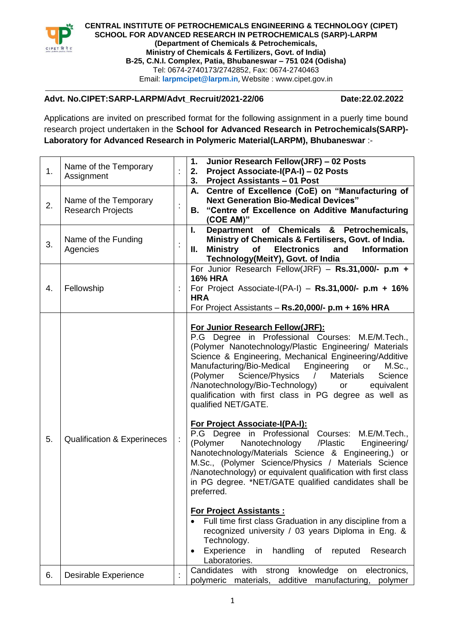

**CENTRAL INSTITUTE OF PETROCHEMICALS ENGINEERING & TECHNOLOGY (CIPET) SCHOOL FOR ADVANCED RESEARCH IN PETROCHEMICALS (SARP)-LARPM (Department of Chemicals & Petrochemicals, Ministry of Chemicals & Fertilizers, Govt. of India) B-25, C.N.I. Complex, Patia, Bhubaneswar – 751 024 (Odisha)** Tel: 0674-2740173/2742852, Fax: 0674-2740463 Email: **[larpmcipet@larpm.in](mailto:larpmcipet@larpm.in/akshaya@larpm.in)**, Website : www.cipet.gov.in

## **Advt. No.CIPET:SARP-LARPM/Advt\_Recruit/2021-22/06 Date:22.02.2022**

Applications are invited on prescribed format for the following assignment in a puerly time bound research project undertaken in the **School for Advanced Research in Petrochemicals(SARP)- Laboratory for Advanced Research in Polymeric Material(LARPM), Bhubaneswar** :-

| 1. | Name of the Temporary<br>Assignment               | ł. | Junior Research Fellow(JRF) - 02 Posts<br>1.<br>Project Associate-I(PA-I) - 02 Posts<br>2.<br>3. Project Assistants - 01 Post                                                                                                                                                                                                                                                                                                                                                                                                                                                                                                                                                                                                                                                                                                                                                                                                                                                                                                                                                                                                                              |
|----|---------------------------------------------------|----|------------------------------------------------------------------------------------------------------------------------------------------------------------------------------------------------------------------------------------------------------------------------------------------------------------------------------------------------------------------------------------------------------------------------------------------------------------------------------------------------------------------------------------------------------------------------------------------------------------------------------------------------------------------------------------------------------------------------------------------------------------------------------------------------------------------------------------------------------------------------------------------------------------------------------------------------------------------------------------------------------------------------------------------------------------------------------------------------------------------------------------------------------------|
| 2. | Name of the Temporary<br><b>Research Projects</b> | t, | A. Centre of Excellence (CoE) on "Manufacturing of<br><b>Next Generation Bio-Medical Devices"</b><br>"Centre of Excellence on Additive Manufacturing<br>В.<br>(COE AM)"                                                                                                                                                                                                                                                                                                                                                                                                                                                                                                                                                                                                                                                                                                                                                                                                                                                                                                                                                                                    |
| 3. | Name of the Funding<br>Agencies                   | ł, | Department of Chemicals & Petrochemicals,<br>$\mathbf{L}$<br>Ministry of Chemicals & Fertilisers, Govt. of India.<br>Ш.<br>Ministry<br>of<br><b>Electronics</b><br>and<br><b>Information</b><br>Technology(MeitY), Govt. of India                                                                                                                                                                                                                                                                                                                                                                                                                                                                                                                                                                                                                                                                                                                                                                                                                                                                                                                          |
| 4. | Fellowship                                        |    | For Junior Research Fellow(JRF) $-$ Rs.31,000/- p.m +<br><b>16% HRA</b><br>For Project Associate-I(PA-I) - $Rs.31,000/- p.m + 16%$<br><b>HRA</b><br>For Project Assistants - Rs.20,000/- p.m + 16% HRA                                                                                                                                                                                                                                                                                                                                                                                                                                                                                                                                                                                                                                                                                                                                                                                                                                                                                                                                                     |
| 5. | <b>Qualification &amp; Experineces</b>            |    | For Junior Research Fellow(JRF):<br>P.G Degree in Professional Courses: M.E/M.Tech.,<br>(Polymer Nanotechnology/Plastic Engineering/ Materials<br>Science & Engineering, Mechanical Engineering/Additive<br>Manufacturing/Bio-Medical<br>Engineering<br>or<br>M.Sc.,<br>Science/Physics<br>Materials<br>(Polymer<br>Science<br>$\sqrt{2}$<br>/Nanotechnology/Bio-Technology)<br>equivalent<br>or<br>qualification with first class in PG degree as well as<br>qualified NET/GATE.<br><b>For Project Associate-I(PA-I):</b><br>P.G Degree in Professional Courses: M.E/M.Tech.,<br>(Polymer<br>Nanotechnology /Plastic<br>Engineering/<br>Nanotechnology/Materials Science & Engineering,) or<br>M.Sc., (Polymer Science/Physics / Materials Science<br>/Nanotechnology) or equivalent qualification with first class<br>in PG degree. *NET/GATE qualified candidates shall be<br>preferred.<br><b>For Project Assistants:</b><br>Full time first class Graduation in any discipline from a<br>recognized university / 03 years Diploma in Eng. &<br>Technology.<br>Experience<br>in<br>handling<br>reputed<br>Research<br>of<br>$\bullet$<br>Laboratories. |
| 6. | <b>Desirable Experience</b>                       | ÷. | strong<br>knowledge<br>Candidates with<br>electronics,<br>on<br>polymeric materials,<br>additive manufacturing,<br>polymer                                                                                                                                                                                                                                                                                                                                                                                                                                                                                                                                                                                                                                                                                                                                                                                                                                                                                                                                                                                                                                 |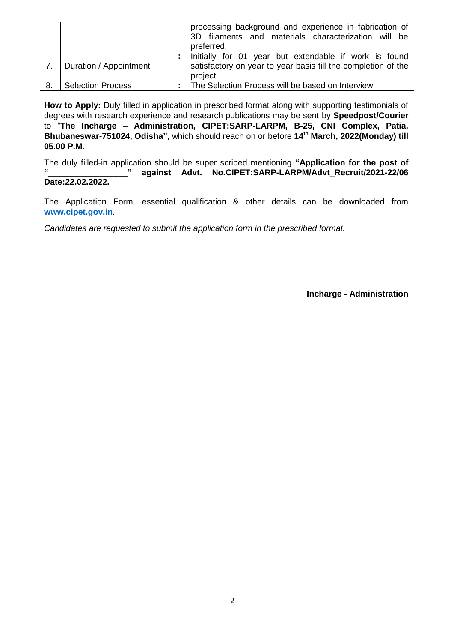|                  |                          | processing background and experience in fabrication of<br>3D filaments and materials characterization will be<br>preferred.       |
|------------------|--------------------------|-----------------------------------------------------------------------------------------------------------------------------------|
| $\overline{7}$ . | Duration / Appointment   | Initially for 01 year but extendable if work is found<br>satisfactory on year to year basis till the completion of the<br>project |
| 8.               | <b>Selection Process</b> | The Selection Process will be based on Interview                                                                                  |

**How to Apply:** Duly filled in application in prescribed format along with supporting testimonials of degrees with research experience and research publications may be sent by **Speedpost/Courier** to "**The Incharge – Administration, CIPET:SARP-LARPM, B-25, CNI Complex, Patia, Bhubaneswar-751024, Odisha",** which should reach on or before **14th March, 2022(Monday) till 05.00 P.M**.

The duly filled-in application should be super scribed mentioning **"Application for the post of**  against Advt. No.CIPET:SARP-LARPM/Advt\_Recruit/2021-22/06 **Date:22.02.2022.**

The Application Form, essential qualification & other details can be downloaded from **[www.cipet.gov.in](http://www.cipet.gov.in/)**.

*Candidates are requested to submit the application form in the prescribed format.*

**Incharge - Administration**